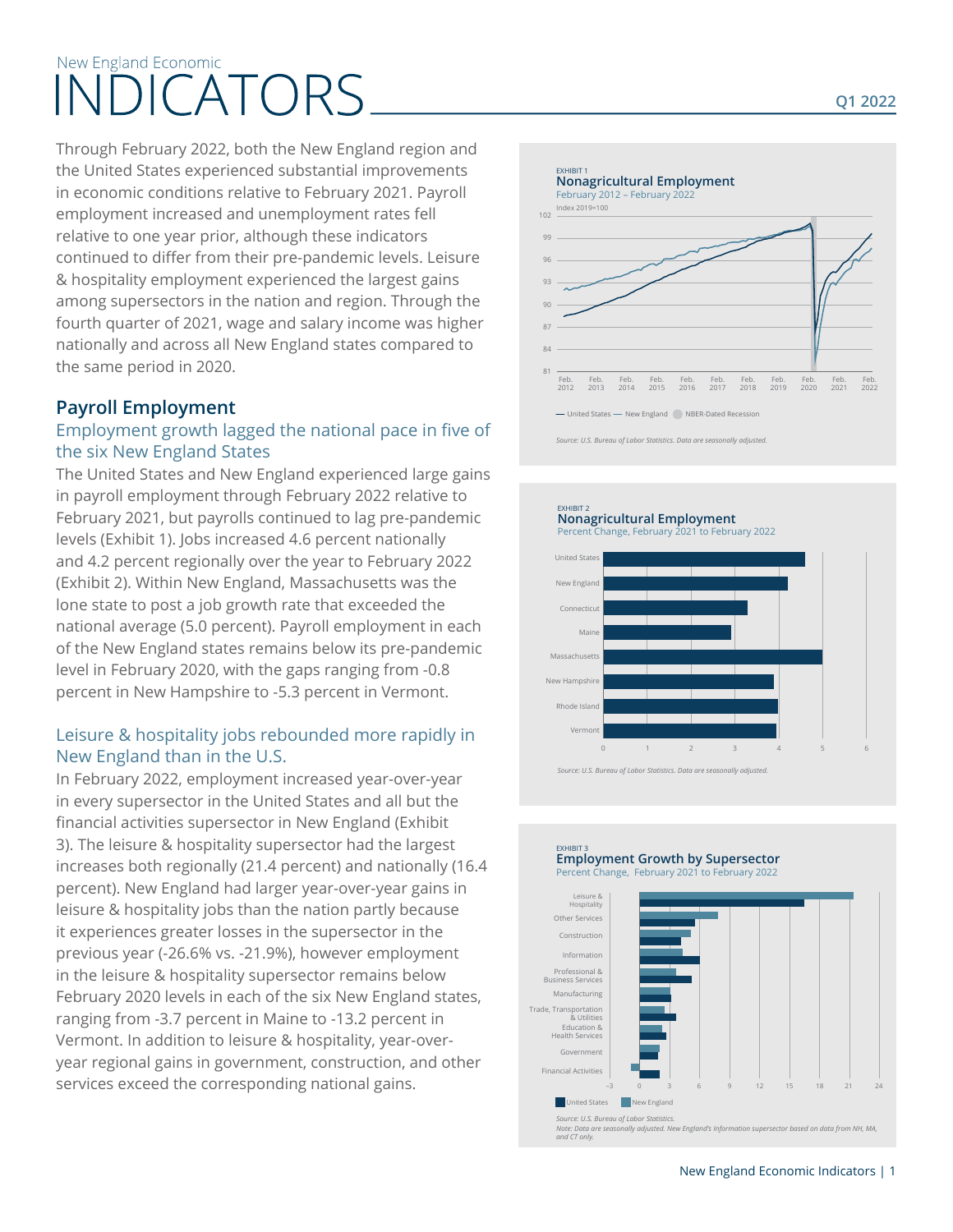# New England Economic INDICATORS

Through February 2022, both the New England region and the United States experienced substantial improvements in economic conditions relative to February 2021. Payroll employment increased and unemployment rates fell relative to one year prior, although these indicators continued to differ from their pre-pandemic levels. Leisure & hospitality employment experienced the largest gains among supersectors in the nation and region. Through the fourth quarter of 2021, wage and salary income was higher nationally and across all New England states compared to the same period in 2020.

## **Payroll Employment**

#### Employment growth lagged the national pace in five of the six New England States

The United States and New England experienced large gains in payroll employment through February 2022 relative to February 2021, but payrolls continued to lag pre-pandemic levels (Exhibit 1). Jobs increased 4.6 percent nationally and 4.2 percent regionally over the year to February 2022 (Exhibit 2). Within New England, Massachusetts was the lone state to post a job growth rate that exceeded the national average (5.0 percent). Payroll employment in each of the New England states remains below its pre-pandemic level in February 2020, with the gaps ranging from -0.8 percent in New Hampshire to -5.3 percent in Vermont.

#### Leisure & hospitality jobs rebounded more rapidly in New England than in the U.S.

In February 2022, employment increased year-over-year in every supersector in the United States and all but the financial activities supersector in New England (Exhibit 3). The leisure & hospitality supersector had the largest increases both regionally (21.4 percent) and nationally (16.4 percent). New England had larger year-over-year gains in leisure & hospitality jobs than the nation partly because it experiences greater losses in the supersector in the previous year (-26.6% vs. -21.9%), however employment in the leisure & hospitality supersector remains below February 2020 levels in each of the six New England states, ranging from -3.7 percent in Maine to -13.2 percent in Vermont. In addition to leisure & hospitality, year-overyear regional gains in government, construction, and other services exceed the corresponding national gains.



*Source: U.S. Bureau of Labor Statistics. Data are seasonally adjusted.*

#### EXHIBIT 2 **Nonagricultural Employment**

Percent Change, February 2021 to February 2022



*Source: U.S. Bureau of Labor Statistics. Data are seasonally adjusted.* 

#### EXHIBIT 3 **Employment Growth by Supersector** Percent Change, February 2021 to February 2022